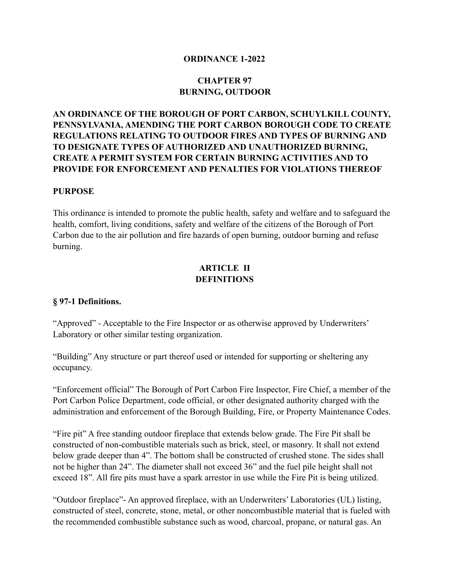#### **ORDINANCE 1-2022**

# **CHAPTER 97 BURNING, OUTDOOR**

# **AN ORDINANCE OF THE BOROUGH OF PORT CARBON, SCHUYLKILL COUNTY, PENNSYLVANIA, AMENDING THE PORT CARBON BOROUGH CODE TO CREATE REGULATIONS RELATING TO OUTDOOR FIRES AND TYPES OF BURNING AND TO DESIGNATE TYPES OF AUTHORIZED AND UNAUTHORIZED BURNING, CREATE A PERMIT SYSTEM FOR CERTAIN BURNING ACTIVITIES AND TO PROVIDE FOR ENFORCEMENT AND PENALTIES FOR VIOLATIONS THEREOF**

#### **PURPOSE**

This ordinance is intended to promote the public health, safety and welfare and to safeguard the health, comfort, living conditions, safety and welfare of the citizens of the Borough of Port Carbon due to the air pollution and fire hazards of open burning, outdoor burning and refuse burning.

#### **ARTICLE II DEFINITIONS**

#### **§ 97-1 Definitions.**

"Approved" - Acceptable to the Fire Inspector or as otherwise approved by Underwriters' Laboratory or other similar testing organization.

"Building" Any structure or part thereof used or intended for supporting or sheltering any occupancy.

"Enforcement official" The Borough of Port Carbon Fire Inspector, Fire Chief, a member of the Port Carbon Police Department, code official, or other designated authority charged with the administration and enforcement of the Borough Building, Fire, or Property Maintenance Codes.

"Fire pit" A free standing outdoor fireplace that extends below grade. The Fire Pit shall be constructed of non-combustible materials such as brick, steel, or masonry. It shall not extend below grade deeper than 4". The bottom shall be constructed of crushed stone. The sides shall not be higher than 24". The diameter shall not exceed 36" and the fuel pile height shall not exceed 18". All fire pits must have a spark arrestor in use while the Fire Pit is being utilized.

"Outdoor fireplace"- An approved fireplace, with an Underwriters' Laboratories (UL) listing, constructed of steel, concrete, stone, metal, or other noncombustible material that is fueled with the recommended combustible substance such as wood, charcoal, propane, or natural gas. An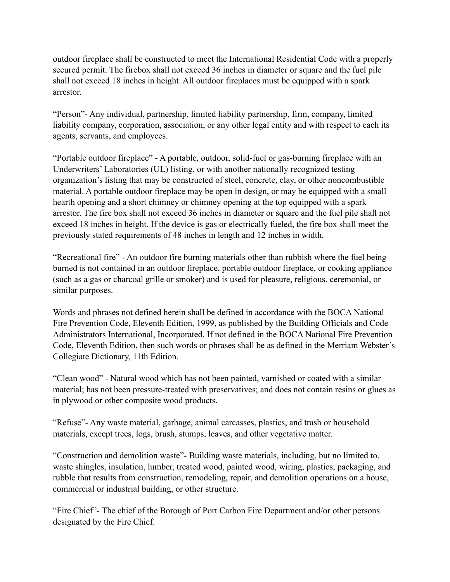outdoor fireplace shall be constructed to meet the International Residential Code with a properly secured permit. The firebox shall not exceed 36 inches in diameter or square and the fuel pile shall not exceed 18 inches in height. All outdoor fireplaces must be equipped with a spark arrestor.

"Person"- Any individual, partnership, limited liability partnership, firm, company, limited liability company, corporation, association, or any other legal entity and with respect to each its agents, servants, and employees.

"Portable outdoor fireplace" - A portable, outdoor, solid-fuel or gas-burning fireplace with an Underwriters' Laboratories (UL) listing, or with another nationally recognized testing organization's listing that may be constructed of steel, concrete, clay, or other noncombustible material. A portable outdoor fireplace may be open in design, or may be equipped with a small hearth opening and a short chimney or chimney opening at the top equipped with a spark arrestor. The fire box shall not exceed 36 inches in diameter or square and the fuel pile shall not exceed 18 inches in height. If the device is gas or electrically fueled, the fire box shall meet the previously stated requirements of 48 inches in length and 12 inches in width.

"Recreational fire" - An outdoor fire burning materials other than rubbish where the fuel being burned is not contained in an outdoor fireplace, portable outdoor fireplace, or cooking appliance (such as a gas or charcoal grille or smoker) and is used for pleasure, religious, ceremonial, or similar purposes.

Words and phrases not defined herein shall be defined in accordance with the BOCA National Fire Prevention Code, Eleventh Edition, 1999, as published by the Building Officials and Code Administrators International, Incorporated. If not defined in the BOCA National Fire Prevention Code, Eleventh Edition, then such words or phrases shall be as defined in the Merriam Webster's Collegiate Dictionary, 11th Edition.

"Clean wood" - Natural wood which has not been painted, varnished or coated with a similar material; has not been pressure-treated with preservatives; and does not contain resins or glues as in plywood or other composite wood products.

"Refuse"- Any waste material, garbage, animal carcasses, plastics, and trash or household materials, except trees, logs, brush, stumps, leaves, and other vegetative matter.

"Construction and demolition waste"- Building waste materials, including, but no limited to, waste shingles, insulation, lumber, treated wood, painted wood, wiring, plastics, packaging, and rubble that results from construction, remodeling, repair, and demolition operations on a house, commercial or industrial building, or other structure.

"Fire Chief"- The chief of the Borough of Port Carbon Fire Department and/or other persons designated by the Fire Chief.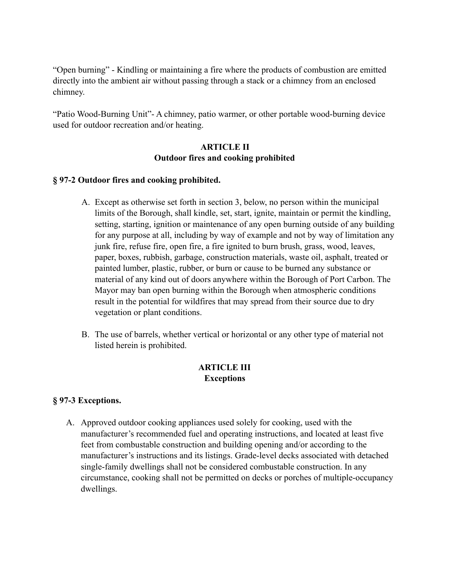"Open burning" - Kindling or maintaining a fire where the products of combustion are emitted directly into the ambient air without passing through a stack or a chimney from an enclosed chimney.

"Patio Wood-Burning Unit"- A chimney, patio warmer, or other portable wood-burning device used for outdoor recreation and/or heating.

#### **ARTICLE II Outdoor fires and cooking prohibited**

#### **§ 97-2 Outdoor fires and cooking prohibited.**

- A. Except as otherwise set forth in section 3, below, no person within the municipal limits of the Borough, shall kindle, set, start, ignite, maintain or permit the kindling, setting, starting, ignition or maintenance of any open burning outside of any building for any purpose at all, including by way of example and not by way of limitation any junk fire, refuse fire, open fire, a fire ignited to burn brush, grass, wood, leaves, paper, boxes, rubbish, garbage, construction materials, waste oil, asphalt, treated or painted lumber, plastic, rubber, or burn or cause to be burned any substance or material of any kind out of doors anywhere within the Borough of Port Carbon. The Mayor may ban open burning within the Borough when atmospheric conditions result in the potential for wildfires that may spread from their source due to dry vegetation or plant conditions.
- B. The use of barrels, whether vertical or horizontal or any other type of material not listed herein is prohibited.

# **ARTICLE III Exceptions**

# **§ 97-3 Exceptions.**

A. Approved outdoor cooking appliances used solely for cooking, used with the manufacturer's recommended fuel and operating instructions, and located at least five feet from combustable construction and building opening and/or according to the manufacturer's instructions and its listings. Grade-level decks associated with detached single-family dwellings shall not be considered combustable construction. In any circumstance, cooking shall not be permitted on decks or porches of multiple-occupancy dwellings.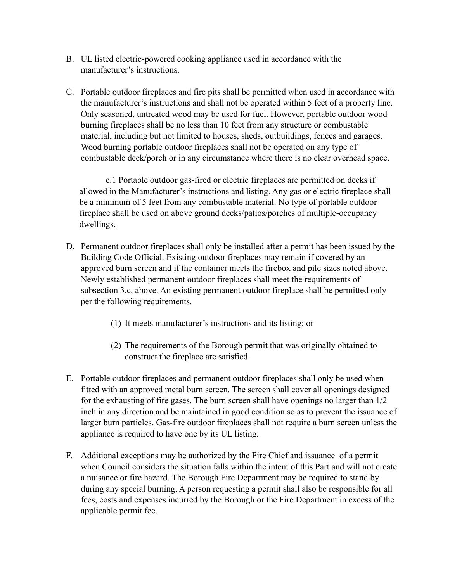- B. UL listed electric-powered cooking appliance used in accordance with the manufacturer's instructions.
- C. Portable outdoor fireplaces and fire pits shall be permitted when used in accordance with the manufacturer's instructions and shall not be operated within 5 feet of a property line. Only seasoned, untreated wood may be used for fuel. However, portable outdoor wood burning fireplaces shall be no less than 10 feet from any structure or combustable material, including but not limited to houses, sheds, outbuildings, fences and garages. Wood burning portable outdoor fireplaces shall not be operated on any type of combustable deck/porch or in any circumstance where there is no clear overhead space.

 c.1 Portable outdoor gas-fired or electric fireplaces are permitted on decks if allowed in the Manufacturer's instructions and listing. Any gas or electric fireplace shall be a minimum of 5 feet from any combustable material. No type of portable outdoor fireplace shall be used on above ground decks/patios/porches of multiple-occupancy dwellings.

- D. Permanent outdoor fireplaces shall only be installed after a permit has been issued by the Building Code Official. Existing outdoor fireplaces may remain if covered by an approved burn screen and if the container meets the firebox and pile sizes noted above. Newly established permanent outdoor fireplaces shall meet the requirements of subsection 3.c, above. An existing permanent outdoor fireplace shall be permitted only per the following requirements.
	- (1) It meets manufacturer's instructions and its listing; or
	- (2) The requirements of the Borough permit that was originally obtained to construct the fireplace are satisfied.
- E. Portable outdoor fireplaces and permanent outdoor fireplaces shall only be used when fitted with an approved metal burn screen. The screen shall cover all openings designed for the exhausting of fire gases. The burn screen shall have openings no larger than 1/2 inch in any direction and be maintained in good condition so as to prevent the issuance of larger burn particles. Gas-fire outdoor fireplaces shall not require a burn screen unless the appliance is required to have one by its UL listing.
- F. Additional exceptions may be authorized by the Fire Chief and issuance of a permit when Council considers the situation falls within the intent of this Part and will not create a nuisance or fire hazard. The Borough Fire Department may be required to stand by during any special burning. A person requesting a permit shall also be responsible for all fees, costs and expenses incurred by the Borough or the Fire Department in excess of the applicable permit fee.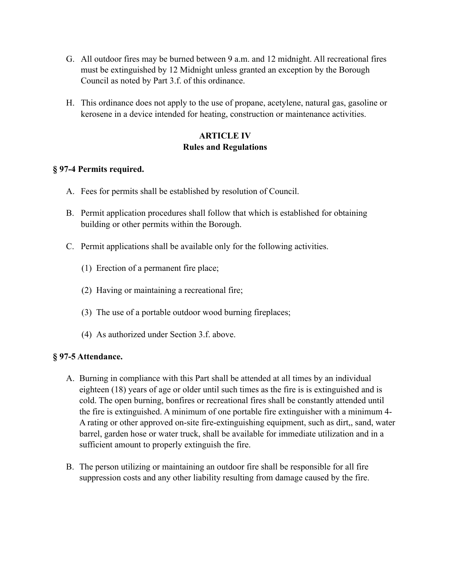- G. All outdoor fires may be burned between 9 a.m. and 12 midnight. All recreational fires must be extinguished by 12 Midnight unless granted an exception by the Borough Council as noted by Part 3.f. of this ordinance.
- H. This ordinance does not apply to the use of propane, acetylene, natural gas, gasoline or kerosene in a device intended for heating, construction or maintenance activities.

# **ARTICLE IV Rules and Regulations**

# **§ 97-4 Permits required.**

- A. Fees for permits shall be established by resolution of Council.
- B. Permit application procedures shall follow that which is established for obtaining building or other permits within the Borough.
- C. Permit applications shall be available only for the following activities.
	- (1) Erection of a permanent fire place;
	- (2) Having or maintaining a recreational fire;
	- (3) The use of a portable outdoor wood burning fireplaces;
	- (4) As authorized under Section 3.f. above.

# **§ 97-5 Attendance.**

- A. Burning in compliance with this Part shall be attended at all times by an individual eighteen (18) years of age or older until such times as the fire is is extinguished and is cold. The open burning, bonfires or recreational fires shall be constantly attended until the fire is extinguished. A minimum of one portable fire extinguisher with a minimum 4- A rating or other approved on-site fire-extinguishing equipment, such as dirt,, sand, water barrel, garden hose or water truck, shall be available for immediate utilization and in a sufficient amount to properly extinguish the fire.
- B. The person utilizing or maintaining an outdoor fire shall be responsible for all fire suppression costs and any other liability resulting from damage caused by the fire.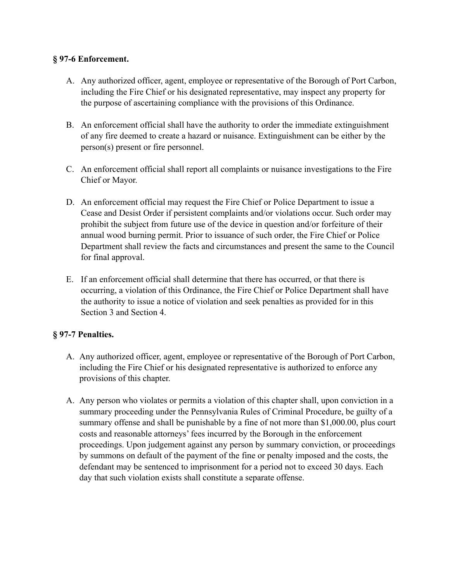# **§ 97-6 Enforcement.**

- A. Any authorized officer, agent, employee or representative of the Borough of Port Carbon, including the Fire Chief or his designated representative, may inspect any property for the purpose of ascertaining compliance with the provisions of this Ordinance.
- B. An enforcement official shall have the authority to order the immediate extinguishment of any fire deemed to create a hazard or nuisance. Extinguishment can be either by the person(s) present or fire personnel.
- C. An enforcement official shall report all complaints or nuisance investigations to the Fire Chief or Mayor.
- D. An enforcement official may request the Fire Chief or Police Department to issue a Cease and Desist Order if persistent complaints and/or violations occur. Such order may prohibit the subject from future use of the device in question and/or forfeiture of their annual wood burning permit. Prior to issuance of such order, the Fire Chief or Police Department shall review the facts and circumstances and present the same to the Council for final approval.
- E. If an enforcement official shall determine that there has occurred, or that there is occurring, a violation of this Ordinance, the Fire Chief or Police Department shall have the authority to issue a notice of violation and seek penalties as provided for in this Section 3 and Section 4.

# **§ 97-7 Penalties.**

- A. Any authorized officer, agent, employee or representative of the Borough of Port Carbon, including the Fire Chief or his designated representative is authorized to enforce any provisions of this chapter.
- A. Any person who violates or permits a violation of this chapter shall, upon conviction in a summary proceeding under the Pennsylvania Rules of Criminal Procedure, be guilty of a summary offense and shall be punishable by a fine of not more than \$1,000.00, plus court costs and reasonable attorneys' fees incurred by the Borough in the enforcement proceedings. Upon judgement against any person by summary conviction, or proceedings by summons on default of the payment of the fine or penalty imposed and the costs, the defendant may be sentenced to imprisonment for a period not to exceed 30 days. Each day that such violation exists shall constitute a separate offense.